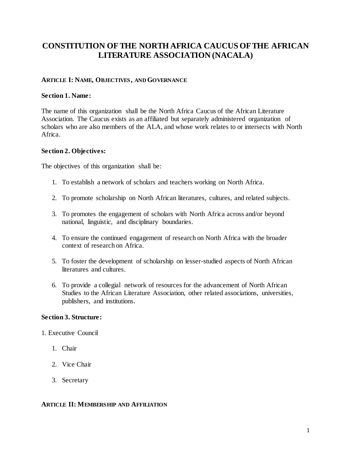# **CONSTITUTION OF THE NORTH AFRICA CAUCUS OF THE AFRICAN LITERATURE ASSOCIATION (NACALA)**

## **ARTICLE I: NAME, OBJECTIVES, AND GOVERNANCE**

#### **Section 1. Name:**

The name of this organization shall be the North Africa Caucus of the African Literature Association. The Caucus exists as an affiliated but separately administered organization of scholars who are also members of the ALA, and whose work relates to or intersects with North Africa.

#### **Section 2. Objectives:**

The objectives of this organization shall be:

- 1. To establish a network of scholars and teachers working on North Africa.
- 2. To promote scholarship on North African literatures, cultures, and related subjects.
- 3. To promotes the engagement of scholars with North Africa across and/or beyond national, linguistic, and disciplinary boundaries.
- 4. To ensure the continued engagement of research on North Africa with the broader context of research on Africa.
- 5. To foster the development of scholarship on lesser-studied aspects of North African literatures and cultures.
- 6. To provide a collegial network of resources for the advancement of North African Studies to the African Literature Association, other related associations, universities, publishers, and institutions.

## **Section 3. Structure:**

- 1. Executive Council
	- 1. Chair
	- 2. Vice Chair
	- 3. Secretary

#### **ARTICLE II: MEMBERSHIP AND AFFILIATION**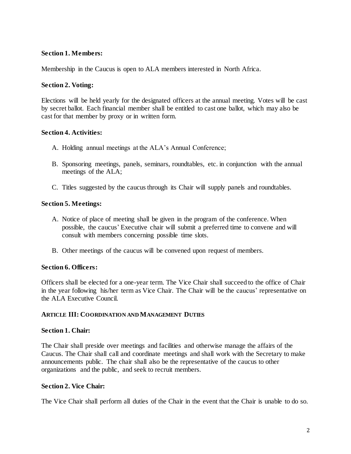## **Section 1. Members:**

Membership in the Caucus is open to ALA members interested in North Africa.

#### **Section 2. Voting:**

Elections will be held yearly for the designated officers at the annual meeting. Votes will be cast by secret ballot. Each financial member shall be entitled to cast one ballot, which may also be cast for that member by proxy or in written form.

## **Section 4. Activities:**

- A. Holding annual meetings at the ALA's Annual Conference;
- B. Sponsoring meetings, panels, seminars, roundtables, etc. in conjunction with the annual meetings of the ALA;
- C. Titles suggested by the caucus through its Chair will supply panels and roundtables.

## **Section 5. Meetings:**

- A. Notice of place of meeting shall be given in the program of the conference. When possible, the caucus' Executive chair will submit a preferred time to convene and will consult with members concerning possible time slots.
- B. Other meetings of the caucus will be convened upon request of members.

#### **Section 6. Officers:**

Officers shall be elected for a one-year term. The Vice Chair shall succeed to the office of Chair in the year following his/her term as Vice Chair. The Chair will be the caucus' representative on the ALA Executive Council.

#### **ARTICLE III: COORDINATION AND MANAGEMENT DUTIES**

#### **Section 1. Chair:**

The Chair shall preside over meetings and facilities and otherwise manage the affairs of the Caucus. The Chair shall call and coordinate meetings and shall work with the Secretary to make announcements public. The chair shall also be the representative of the caucus to other organizations and the public, and seek to recruit members.

#### **Section 2. Vice Chair:**

The Vice Chair shall perform all duties of the Chair in the event that the Chair is unable to do so.